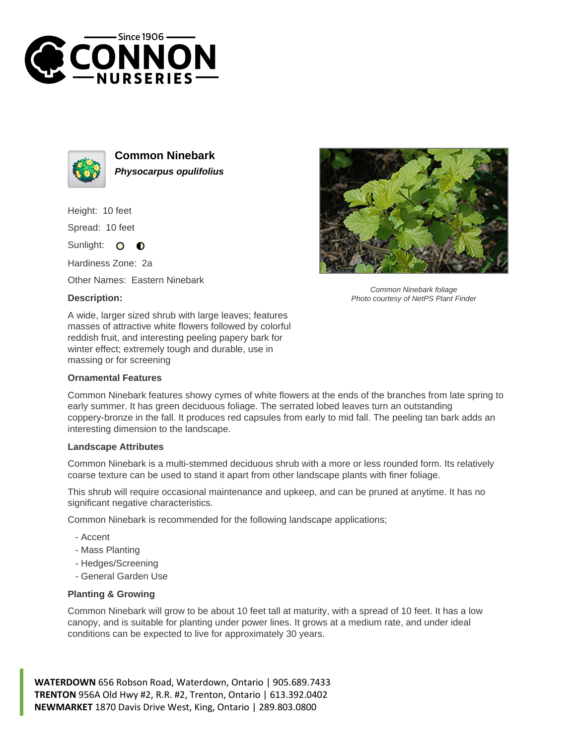



**Common Ninebark Physocarpus opulifolius**

Height: 10 feet

Spread: 10 feet

Sunlight: O  $\bullet$ 

Hardiness Zone: 2a

Other Names: Eastern Ninebark

## **Description:**



## **Ornamental Features**



Common Ninebark foliage Photo courtesy of NetPS Plant Finder

Common Ninebark features showy cymes of white flowers at the ends of the branches from late spring to early summer. It has green deciduous foliage. The serrated lobed leaves turn an outstanding coppery-bronze in the fall. It produces red capsules from early to mid fall. The peeling tan bark adds an interesting dimension to the landscape.

## **Landscape Attributes**

Common Ninebark is a multi-stemmed deciduous shrub with a more or less rounded form. Its relatively coarse texture can be used to stand it apart from other landscape plants with finer foliage.

This shrub will require occasional maintenance and upkeep, and can be pruned at anytime. It has no significant negative characteristics.

Common Ninebark is recommended for the following landscape applications;

- Accent
- Mass Planting
- Hedges/Screening
- General Garden Use

## **Planting & Growing**

Common Ninebark will grow to be about 10 feet tall at maturity, with a spread of 10 feet. It has a low canopy, and is suitable for planting under power lines. It grows at a medium rate, and under ideal conditions can be expected to live for approximately 30 years.

**WATERDOWN** 656 Robson Road, Waterdown, Ontario | 905.689.7433 **TRENTON** 956A Old Hwy #2, R.R. #2, Trenton, Ontario | 613.392.0402 **NEWMARKET** 1870 Davis Drive West, King, Ontario | 289.803.0800